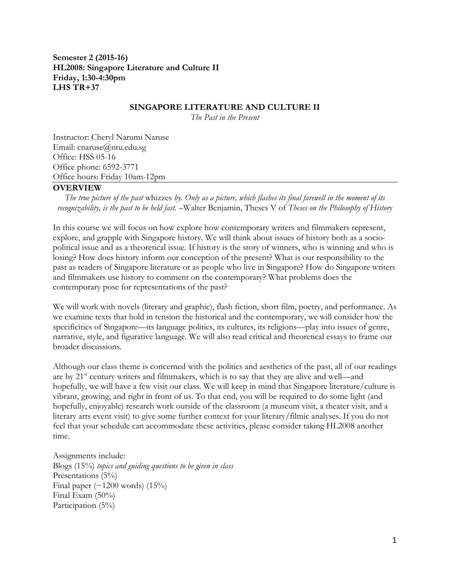**Semester 2 (2015-16) HL2008: Singapore Literature and Culture II Friday, 1:30-4:30pm LHS TR+37**

#### **SINGAPORE LITERATURE AND CULTURE II**

*The Past in the Present*

Instructor: Cheryl Narumi Naruse Email: cnaruse@ntu.edu.sg Office: HSS 05-16 Office phone: 6592-3771 Office hours: Friday 10am-12pm

#### **OVERVIEW**

*The true picture of the past* whizzes *by. Only as a picture, which flashes its final farewell in the moment of its recognizability, is the past to be held fast.* –Walter Benjamin, Theses V of *Theses on the Philosophy of History*

In this course we will focus on how explore how contemporary writers and filmmakers represent, explore, and grapple with Singapore history. We will think about issues of history both as a sociopolitical issue and as a theoretical issue. If history is the story of winners, who is winning and who is losing? How does history inform our conception of the present? What is our responsibility to the past as readers of Singapore literature or as people who live in Singapore? How do Singapore writers and filmmakers use history to comment on the contemporary? What problems does the contemporary pose for representations of the past?

We will work with novels (literary and graphic), flash fiction, short film, poetry, and performance. As we examine texts that hold in tension the historical and the contemporary, we will consider how the specificities of Singapore—its language politics, its cultures, its religions—play into issues of genre, narrative, style, and figurative language. We will also read critical and theoretical essays to frame our broader discussions.

Although our class theme is concerned with the politics and aesthetics of the past, all of our readings are by 21<sup>st</sup> century writers and filmmakers, which is to say that they are alive and well—and hopefully, we will have a few visit our class. We will keep in mind that Singapore literature/culture is vibrant, growing, and right in front of us. To that end, you will be required to do some light (and hopefully, enjoyable) research work outside of the classroom (a museum visit, a theater visit, and a literary arts event visit) to give some further context for your literary/filmic analyses. If you do not feel that your schedule can accommodate these activities, please consider taking HL2008 another time.

Assignments include: Blogs (15%) *topics and guiding questions to be given in class* Presentations (5%) Final paper  $(\sim 1200 \text{ words})$   $(15\%)$ Final Exam (50%) Participation (5%)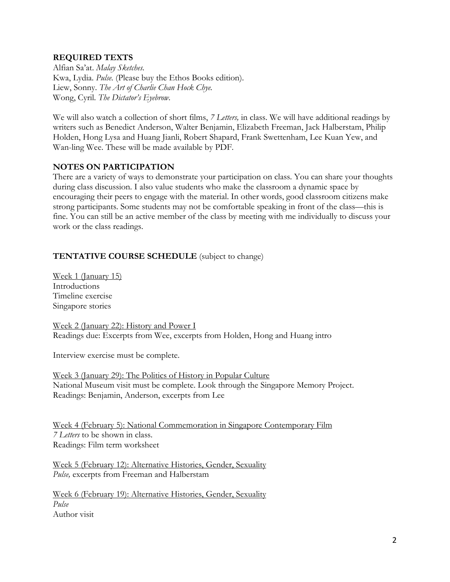## **REQUIRED TEXTS**

Alfian Sa'at. *Malay Sketches.*  Kwa, Lydia. *Pulse.* (Please buy the Ethos Books edition). Liew, Sonny. *The Art of Charlie Chan Hock Chye.*  Wong, Cyril. *The Dictator's Eyebrow.*

We will also watch a collection of short films, *7 Letters,* in class. We will have additional readings by writers such as Benedict Anderson, Walter Benjamin, Elizabeth Freeman, Jack Halberstam, Philip Holden, Hong Lysa and Huang Jianli, Robert Shapard, Frank Swettenham, Lee Kuan Yew, and Wan-ling Wee. These will be made available by PDF.

## **NOTES ON PARTICIPATION**

There are a variety of ways to demonstrate your participation on class. You can share your thoughts during class discussion. I also value students who make the classroom a dynamic space by encouraging their peers to engage with the material. In other words, good classroom citizens make strong participants. Some students may not be comfortable speaking in front of the class—this is fine. You can still be an active member of the class by meeting with me individually to discuss your work or the class readings.

# **TENTATIVE COURSE SCHEDULE** (subject to change)

Week 1 (January 15) **Introductions** Timeline exercise Singapore stories

Week 2 (January 22): History and Power I Readings due: Excerpts from Wee, excerpts from Holden, Hong and Huang intro

Interview exercise must be complete.

Week 3 (January 29): The Politics of History in Popular Culture National Museum visit must be complete. Look through the Singapore Memory Project. Readings: Benjamin, Anderson, excerpts from Lee

Week 4 (February 5): National Commemoration in Singapore Contemporary Film *7 Letters* to be shown in class. Readings: Film term worksheet

Week 5 (February 12): Alternative Histories, Gender, Sexuality *Pulse,* excerpts from Freeman and Halberstam

Week 6 (February 19): Alternative Histories, Gender, Sexuality *Pulse* Author visit